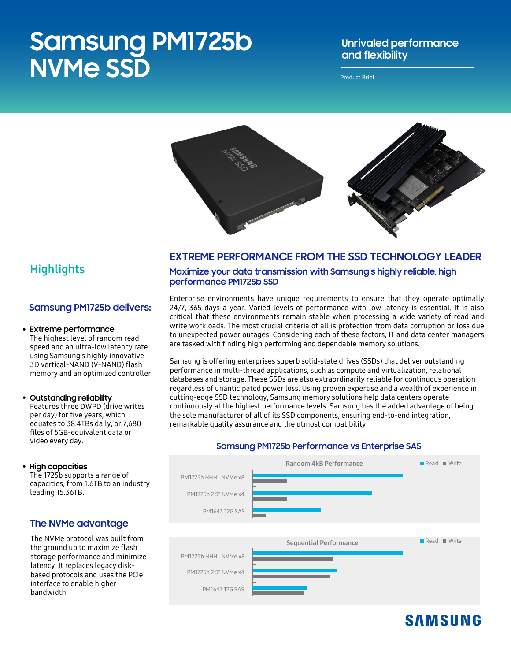# **Samsung PM1725b NVMe SSD**

### **Unrivaled performance and flexibility**

Product Brief



### **Highlights**

### **Samsung PM1725b delivers:**

#### • **Extreme performance**

The highest level of random read speed and an ultra-low latency rate using Samsung's highly innovative 3D vertical-NAND (V-NAND) flash memory and an optimized controller.

• **Outstanding reliability** Features three DWPD (drive writes per day) for five years, which equates to 38.4TBs daily, or 7,680 files of 5GB-equivalent data or video every day.

#### • **High capacities**

The 1725b supports a range of capacities, from 1.6TB to an industry leading 15.36TB.

### **The NVMe advantage**

The NVMe protocol was built from the ground up to maximize flash storage performance and minimize latency. It replaces legacy diskbased protocols and uses the PCIe interface to enable higher bandwidth.

### **EXTREME PERFORMANCE FROM THE SSD TECHNOLOGY LEADER**

**Maximize your data transmission with Samsung's highly reliable, high performance PM1725b SSD**

Enterprise environments have unique requirements to ensure that they operate optimally 24/7, 365 days a year. Varied levels of performance with low latency is essential. It is also critical that these environments remain stable when processing a wide variety of read and write workloads. The most crucial criteria of all is protection from data corruption or loss due to unexpected power outages. Considering each of these factors, IT and data center managers are tasked with finding high performing and dependable memory solutions.

Samsung is offering enterprises superb solid-state drives (SSDs) that deliver outstanding performance in multi-thread applications, such as compute and virtualization, relational databases and storage. These SSDs are also extraordinarily reliable for continuous operation regardless of unanticipated power loss. Using proven expertise and a wealth of experience in cutting-edge SSD technology, Samsung memory solutions help data centers operate continuously at the highest performance levels. Samsung has the added advantage of being the sole manufacturer of all of its SSD components, ensuring end-to-end integration, remarkable quality assurance and the utmost compatibility.

### **Samsung PM1725b Performance vs Enterprise SAS**



# **SAMSUNG**